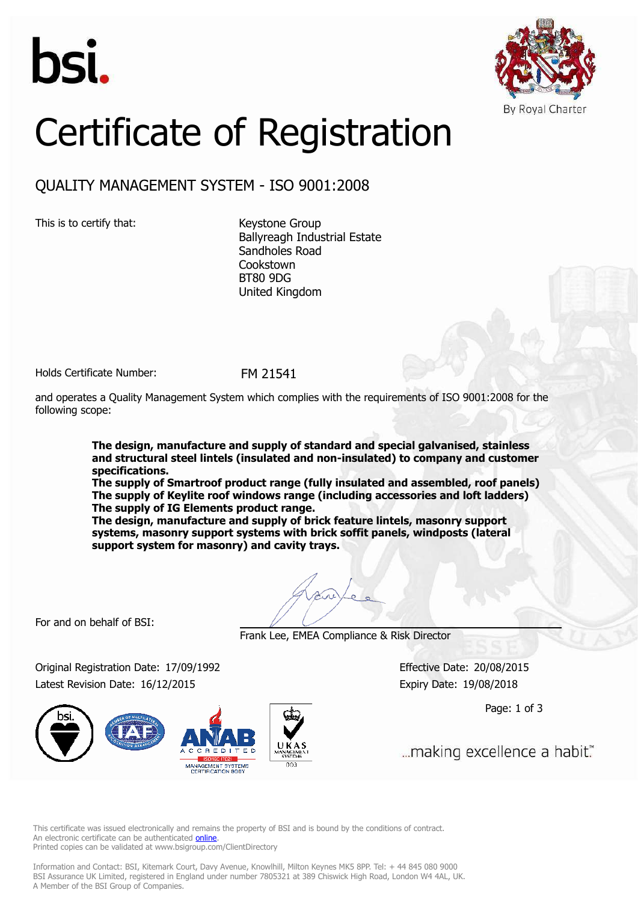



# Certificate of Registration

## QUALITY MANAGEMENT SYSTEM - ISO 9001:2008

This is to certify that: Keystone Group

Ballyreagh Industrial Estate Sandholes Road **Cookstown** BT80 9DG United Kingdom

Holds Certificate Number: FM 21541

and operates a Quality Management System which complies with the requirements of ISO 9001:2008 for the following scope:

> **The design, manufacture and supply of standard and special galvanised, stainless and structural steel lintels (insulated and non-insulated) to company and customer specifications.**

> **The supply of Smartroof product range (fully insulated and assembled, roof panels) The supply of Keylite roof windows range (including accessories and loft ladders) The supply of IG Elements product range.**

**The design, manufacture and supply of brick feature lintels, masonry support systems, masonry support systems with brick soffit panels, windposts (lateral support system for masonry) and cavity trays.**

For and on behalf of BSI:

Frank Lee, EMEA Compliance & Risk Director

Original Registration Date: 17/09/1992 Effective Date: 20/08/2015 Latest Revision Date: 16/12/2015 Expiry Date: 19/08/2018

MANAGEMENT SYSTEMS

Page: 1 of 3

... making excellence a habit."

This certificate was issued electronically and remains the property of BSI and is bound by the conditions of contract. An electronic certificate can be authenticated **online** Printed copies can be validated at www.bsigroup.com/ClientDirectory

Information and Contact: BSI, Kitemark Court, Davy Avenue, Knowlhill, Milton Keynes MK5 8PP. Tel: + 44 845 080 9000 BSI Assurance UK Limited, registered in England under number 7805321 at 389 Chiswick High Road, London W4 4AL, UK. A Member of the BSI Group of Companies.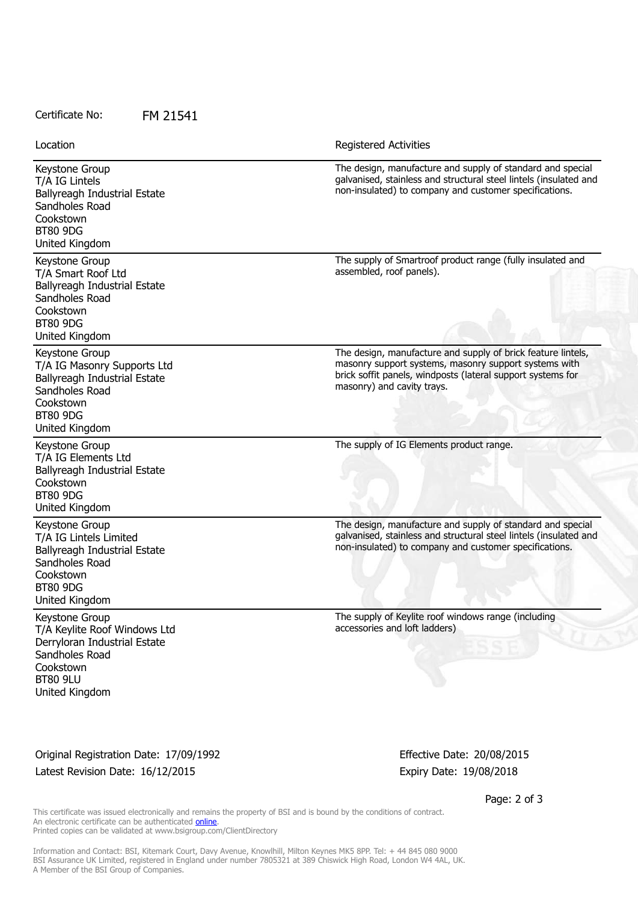#### Certificate No: FM 21541

Location Registered Activities

| Keystone Group<br>T/A IG Lintels<br>Ballyreagh Industrial Estate<br>Sandholes Road<br>Cookstown<br><b>BT80 9DG</b><br>United Kingdom                                             | The design, manufacture and supply of standard and special<br>galvanised, stainless and structural steel lintels (insulated and<br>non-insulated) to company and customer specifications.                          |
|----------------------------------------------------------------------------------------------------------------------------------------------------------------------------------|--------------------------------------------------------------------------------------------------------------------------------------------------------------------------------------------------------------------|
| Keystone Group<br>T/A Smart Roof Ltd<br>Ballyreagh Industrial Estate<br>Sandholes Road<br>Cookstown<br><b>BT80 9DG</b><br>United Kingdom                                         | The supply of Smartroof product range (fully insulated and<br>assembled, roof panels).                                                                                                                             |
| Keystone Group<br>T/A IG Masonry Supports Ltd<br>Ballyreagh Industrial Estate<br>Sandholes Road<br>Cookstown<br><b>BT80 9DG</b><br>United Kingdom                                | The design, manufacture and supply of brick feature lintels,<br>masonry support systems, masonry support systems with<br>brick soffit panels, windposts (lateral support systems for<br>masonry) and cavity trays. |
| Keystone Group<br>T/A IG Elements Ltd<br>Ballyreagh Industrial Estate<br>Cookstown<br><b>BT80 9DG</b><br>United Kingdom                                                          | The supply of IG Elements product range.                                                                                                                                                                           |
| Keystone Group<br>T/A IG Lintels Limited<br>Ballyreagh Industrial Estate<br>Sandholes Road<br>Cookstown<br><b>BT80 9DG</b><br>United Kingdom                                     | The design, manufacture and supply of standard and special<br>galvanised, stainless and structural steel lintels (insulated and<br>non-insulated) to company and customer specifications.                          |
| Keystone Group<br>T/A Keylite Roof Windows Ltd<br>Derryloran Industrial Estate<br>Sandholes Road<br>Cookstown<br><b>BT80 9LU</b><br>United Kingdom                               | The supply of Keylite roof windows range (including<br>accessories and loft ladders)                                                                                                                               |
| Original Registration Date: 17/09/1992<br>Latest Revision Date: 16/12/2015                                                                                                       | Effective Date: 20/08/2015<br>Expiry Date: 19/08/2018                                                                                                                                                              |
| This certificate was issued electronically and remains the property of BSI and is bound by the conditions of contract.<br>An electronic certificate can be authenticated online. | Page: 2 of 3                                                                                                                                                                                                       |

Printed copies can be validated at www.bsigroup.com/ClientDirectory

Information and Contact: BSI, Kitemark Court, Davy Avenue, Knowlhill, Milton Keynes MK5 8PP. Tel: + 44 845 080 9000 BSI Assurance UK Limited, registered in England under number 7805321 at 389 Chiswick High Road, London W4 4AL, UK. A Member of the BSI Group of Companies.